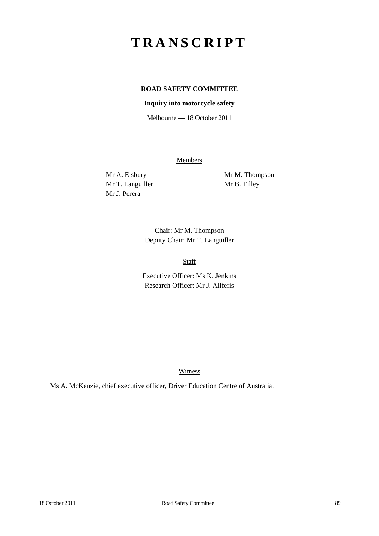# **TRANSCRIPT**

## **ROAD SAFETY COMMITTEE**

### **Inquiry into motorcycle safety**

Melbourne — 18 October 2011

**Members** 

Mr T. Languiller Mr B. Tilley Mr J. Perera

Mr A. Elsbury Mr M. Thompson

Chair: Mr M. Thompson Deputy Chair: Mr T. Languiller

Staff

Executive Officer: Ms K. Jenkins Research Officer: Mr J. Aliferis

Witness

Ms A. McKenzie, chief executive officer, Driver Education Centre of Australia.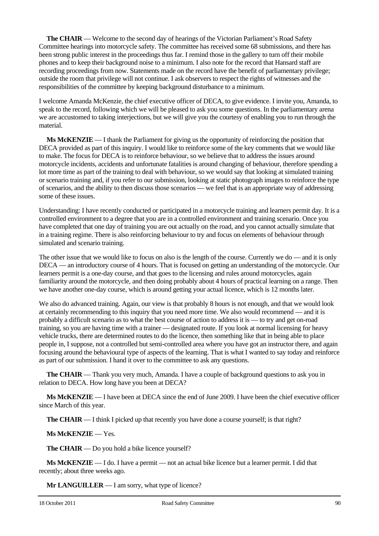**The CHAIR** — Welcome to the second day of hearings of the Victorian Parliament's Road Safety Committee hearings into motorcycle safety. The committee has received some 68 submissions, and there has been strong public interest in the proceedings thus far. I remind those in the gallery to turn off their mobile phones and to keep their background noise to a minimum. I also note for the record that Hansard staff are recording proceedings from now. Statements made on the record have the benefit of parliamentary privilege; outside the room that privilege will not continue. I ask observers to respect the rights of witnesses and the responsibilities of the committee by keeping background disturbance to a minimum.

I welcome Amanda McKenzie, the chief executive officer of DECA, to give evidence. I invite you, Amanda, to speak to the record, following which we will be pleased to ask you some questions. In the parliamentary arena we are accustomed to taking interjections, but we will give you the courtesy of enabling you to run through the material.

**Ms McKENZIE** — I thank the Parliament for giving us the opportunity of reinforcing the position that DECA provided as part of this inquiry. I would like to reinforce some of the key comments that we would like to make. The focus for DECA is to reinforce behaviour, so we believe that to address the issues around motorcycle incidents, accidents and unfortunate fatalities is around changing of behaviour, therefore spending a lot more time as part of the training to deal with behaviour, so we would say that looking at simulated training or scenario training and, if you refer to our submission, looking at static photograph images to reinforce the type of scenarios, and the ability to then discuss those scenarios — we feel that is an appropriate way of addressing some of these issues.

Understanding: I have recently conducted or participated in a motorcycle training and learners permit day. It is a controlled environment to a degree that you are in a controlled environment and training scenario. Once you have completed that one day of training you are out actually on the road, and you cannot actually simulate that in a training regime. There is also reinforcing behaviour to try and focus on elements of behaviour through simulated and scenario training.

The other issue that we would like to focus on also is the length of the course. Currently we do — and it is only DECA — an introductory course of 4 hours. That is focused on getting an understanding of the motorcycle. Our learners permit is a one-day course, and that goes to the licensing and rules around motorcycles, again familiarity around the motorcycle, and then doing probably about 4 hours of practical learning on a range. Then we have another one-day course, which is around getting your actual licence, which is 12 months later.

We also do advanced training. Again, our view is that probably 8 hours is not enough, and that we would look at certainly recommending to this inquiry that you need more time. We also would recommend — and it is probably a difficult scenario as to what the best course of action to address it is — to try and get on-road training, so you are having time with a trainer — designated route. If you look at normal licensing for heavy vehicle trucks, there are determined routes to do the licence, then something like that in being able to place people in, I suppose, not a controlled but semi-controlled area where you have got an instructor there, and again focusing around the behavioural type of aspects of the learning. That is what I wanted to say today and reinforce as part of our submission. I hand it over to the committee to ask any questions.

**The CHAIR** — Thank you very much, Amanda. I have a couple of background questions to ask you in relation to DECA. How long have you been at DECA?

**Ms McKENZIE** — I have been at DECA since the end of June 2009. I have been the chief executive officer since March of this year.

**The CHAIR** — I think I picked up that recently you have done a course yourself; is that right?

#### **Ms McKENZIE** — Yes.

**The CHAIR** — Do you hold a bike licence yourself?

**Ms McKENZIE** — I do. I have a permit — not an actual bike licence but a learner permit. I did that recently; about three weeks ago.

**Mr LANGUILLER** — I am sorry, what type of licence?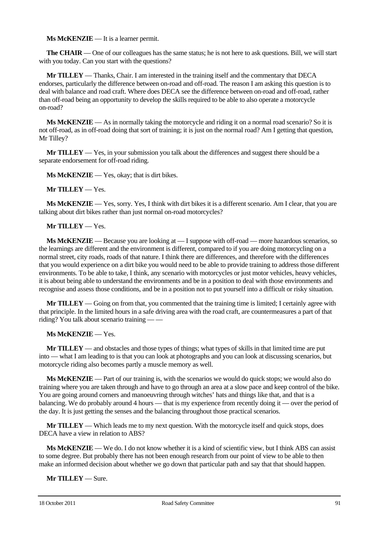**Ms McKENZIE** — It is a learner permit.

**The CHAIR** — One of our colleagues has the same status; he is not here to ask questions. Bill, we will start with you today. Can you start with the questions?

**Mr TILLEY** — Thanks, Chair. I am interested in the training itself and the commentary that DECA endorses, particularly the difference between on-road and off-road. The reason I am asking this question is to deal with balance and road craft. Where does DECA see the difference between on-road and off-road, rather than off-road being an opportunity to develop the skills required to be able to also operate a motorcycle on-road?

**Ms McKENZIE** — As in normally taking the motorcycle and riding it on a normal road scenario? So it is not off-road, as in off-road doing that sort of training; it is just on the normal road? Am I getting that question, Mr Tilley?

**Mr TILLEY** — Yes, in your submission you talk about the differences and suggest there should be a separate endorsement for off-road riding.

**Ms McKENZIE** — Yes, okay; that is dirt bikes.

#### **Mr TILLEY** — Yes.

**Ms McKENZIE** — Yes, sorry. Yes, I think with dirt bikes it is a different scenario. Am I clear, that you are talking about dirt bikes rather than just normal on-road motorcycles?

#### **Mr TILLEY** — Yes.

**Ms McKENZIE** — Because you are looking at — I suppose with off-road — more hazardous scenarios, so the learnings are different and the environment is different, compared to if you are doing motorcycling on a normal street, city roads, roads of that nature. I think there are differences, and therefore with the differences that you would experience on a dirt bike you would need to be able to provide training to address those different environments. To be able to take, I think, any scenario with motorcycles or just motor vehicles, heavy vehicles, it is about being able to understand the environments and be in a position to deal with those environments and recognise and assess those conditions, and be in a position not to put yourself into a difficult or risky situation.

**Mr TILLEY** — Going on from that, you commented that the training time is limited; I certainly agree with that principle. In the limited hours in a safe driving area with the road craft, are countermeasures a part of that riding? You talk about scenario training — —

**Ms McKENZIE** — Yes.

**Mr TILLEY** — and obstacles and those types of things; what types of skills in that limited time are put into — what I am leading to is that you can look at photographs and you can look at discussing scenarios, but motorcycle riding also becomes partly a muscle memory as well.

**Ms McKENZIE** — Part of our training is, with the scenarios we would do quick stops; we would also do training where you are taken through and have to go through an area at a slow pace and keep control of the bike. You are going around corners and manoeuvring through witches' hats and things like that, and that is a balancing. We do probably around 4 hours — that is my experience from recently doing it — over the period of the day. It is just getting the senses and the balancing throughout those practical scenarios.

**Mr TILLEY** — Which leads me to my next question. With the motorcycle itself and quick stops, does DECA have a view in relation to ABS?

**Ms McKENZIE** — We do. I do not know whether it is a kind of scientific view, but I think ABS can assist to some degree. But probably there has not been enough research from our point of view to be able to then make an informed decision about whether we go down that particular path and say that that should happen.

**Mr TILLEY** — Sure.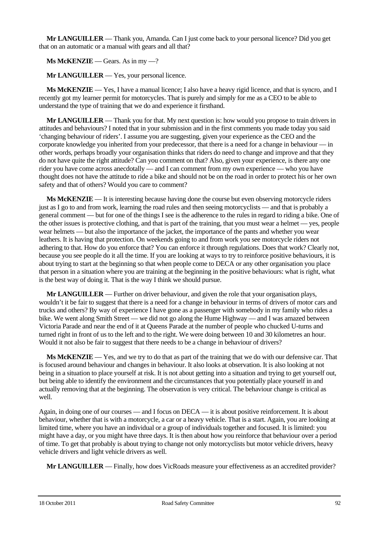**Mr LANGUILLER** — Thank you, Amanda. Can I just come back to your personal licence? Did you get that on an automatic or a manual with gears and all that?

**Ms McKENZIE** — Gears. As in my —?

**Mr LANGUILLER** — Yes, your personal licence.

**Ms McKENZIE** — Yes, I have a manual licence; I also have a heavy rigid licence, and that is syncro, and I recently got my learner permit for motorcycles. That is purely and simply for me as a CEO to be able to understand the type of training that we do and experience it firsthand.

**Mr LANGUILLER** — Thank you for that. My next question is: how would you propose to train drivers in attitudes and behaviours? I noted that in your submission and in the first comments you made today you said 'changing behaviour of riders'. I assume you are suggesting, given your experience as the CEO and the corporate knowledge you inherited from your predecessor, that there is a need for a change in behaviour — in other words, perhaps broadly your organisation thinks that riders do need to change and improve and that they do not have quite the right attitude? Can you comment on that? Also, given your experience, is there any one rider you have come across anecdotally — and I can comment from my own experience — who you have thought does not have the attitude to ride a bike and should not be on the road in order to protect his or her own safety and that of others? Would you care to comment?

**Ms McKENZIE** — It is interesting because having done the course but even observing motorcycle riders just as I go to and from work, learning the road rules and then seeing motorcyclists — and that is probably a general comment — but for one of the things I see is the adherence to the rules in regard to riding a bike. One of the other issues is protective clothing, and that is part of the training, that you must wear a helmet — yes, people wear helmets — but also the importance of the jacket, the importance of the pants and whether you wear leathers. It is having that protection. On weekends going to and from work you see motorcycle riders not adhering to that. How do you enforce that? You can enforce it through regulations. Does that work? Clearly not, because you see people do it all the time. If you are looking at ways to try to reinforce positive behaviours, it is about trying to start at the beginning so that when people come to DECA or any other organisation you place that person in a situation where you are training at the beginning in the positive behaviours: what is right, what is the best way of doing it. That is the way I think we should pursue.

**Mr LANGUILLER** — Further on driver behaviour, and given the role that your organisation plays, wouldn't it be fair to suggest that there is a need for a change in behaviour in terms of drivers of motor cars and trucks and others? By way of experience I have gone as a passenger with somebody in my family who rides a bike. We went along Smith Street — we did not go along the Hume Highway — and I was amazed between Victoria Parade and near the end of it at Queens Parade at the number of people who chucked U-turns and turned right in front of us to the left and to the right. We were doing between 10 and 30 kilometres an hour. Would it not also be fair to suggest that there needs to be a change in behaviour of drivers?

**Ms McKENZIE** — Yes, and we try to do that as part of the training that we do with our defensive car. That is focused around behaviour and changes in behaviour. It also looks at observation. It is also looking at not being in a situation to place yourself at risk. It is not about getting into a situation and trying to get yourself out, but being able to identify the environment and the circumstances that you potentially place yourself in and actually removing that at the beginning. The observation is very critical. The behaviour change is critical as well.

Again, in doing one of our courses — and I focus on DECA — it is about positive reinforcement. It is about behaviour, whether that is with a motorcycle, a car or a heavy vehicle. That is a start. Again, you are looking at limited time, where you have an individual or a group of individuals together and focused. It is limited: you might have a day, or you might have three days. It is then about how you reinforce that behaviour over a period of time. To get that probably is about trying to change not only motorcyclists but motor vehicle drivers, heavy vehicle drivers and light vehicle drivers as well.

**Mr LANGUILLER** — Finally, how does VicRoads measure your effectiveness as an accredited provider?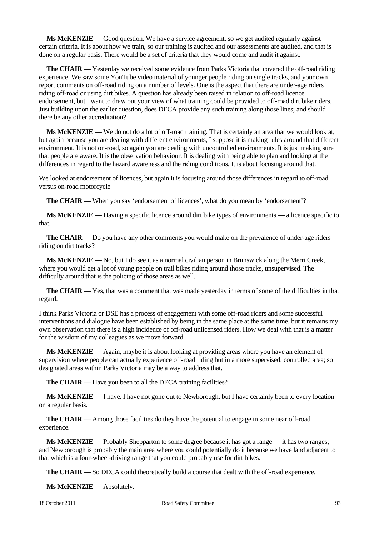**Ms McKENZIE** — Good question. We have a service agreement, so we get audited regularly against certain criteria. It is about how we train, so our training is audited and our assessments are audited, and that is done on a regular basis. There would be a set of criteria that they would come and audit it against.

**The CHAIR** — Yesterday we received some evidence from Parks Victoria that covered the off-road riding experience. We saw some YouTube video material of younger people riding on single tracks, and your own report comments on off-road riding on a number of levels. One is the aspect that there are under-age riders riding off-road or using dirt bikes. A question has already been raised in relation to off-road licence endorsement, but I want to draw out your view of what training could be provided to off-road dirt bike riders. Just building upon the earlier question, does DECA provide any such training along those lines; and should there be any other accreditation?

**Ms McKENZIE** — We do not do a lot of off-road training. That is certainly an area that we would look at, but again because you are dealing with different environments, I suppose it is making rules around that different environment. It is not on-road, so again you are dealing with uncontrolled environments. It is just making sure that people are aware. It is the observation behaviour. It is dealing with being able to plan and looking at the differences in regard to the hazard awareness and the riding conditions. It is about focusing around that.

We looked at endorsement of licences, but again it is focusing around those differences in regard to off-road versus on-road motorcycle — —

**The CHAIR** — When you say 'endorsement of licences', what do you mean by 'endorsement'?

**Ms McKENZIE** — Having a specific licence around dirt bike types of environments — a licence specific to that.

**The CHAIR** — Do you have any other comments you would make on the prevalence of under-age riders riding on dirt tracks?

**Ms McKENZIE** — No, but I do see it as a normal civilian person in Brunswick along the Merri Creek, where you would get a lot of young people on trail bikes riding around those tracks, unsupervised. The difficulty around that is the policing of those areas as well.

**The CHAIR** — Yes, that was a comment that was made yesterday in terms of some of the difficulties in that regard.

I think Parks Victoria or DSE has a process of engagement with some off-road riders and some successful interventions and dialogue have been established by being in the same place at the same time, but it remains my own observation that there is a high incidence of off-road unlicensed riders. How we deal with that is a matter for the wisdom of my colleagues as we move forward.

**Ms McKENZIE** — Again, maybe it is about looking at providing areas where you have an element of supervision where people can actually experience off-road riding but in a more supervised, controlled area; so designated areas within Parks Victoria may be a way to address that.

**The CHAIR** — Have you been to all the DECA training facilities?

**Ms McKENZIE** — I have. I have not gone out to Newborough, but I have certainly been to every location on a regular basis.

**The CHAIR** — Among those facilities do they have the potential to engage in some near off-road experience.

**Ms McKENZIE** — Probably Shepparton to some degree because it has got a range — it has two ranges; and Newborough is probably the main area where you could potentially do it because we have land adjacent to that which is a four-wheel-driving range that you could probably use for dirt bikes.

**The CHAIR** — So DECA could theoretically build a course that dealt with the off-road experience.

**Ms McKENZIE** — Absolutely.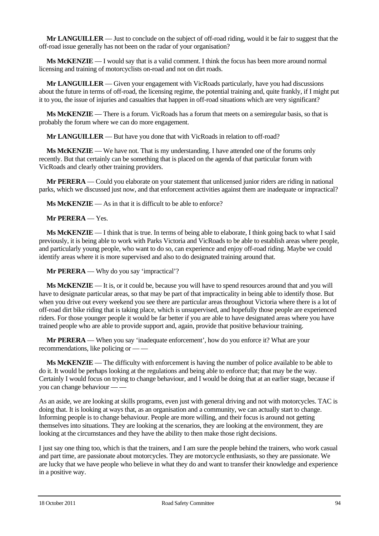**Mr LANGUILLER** — Just to conclude on the subject of off-road riding, would it be fair to suggest that the off-road issue generally has not been on the radar of your organisation?

**Ms McKENZIE** — I would say that is a valid comment. I think the focus has been more around normal licensing and training of motorcyclists on-road and not on dirt roads.

**Mr LANGUILLER** — Given your engagement with VicRoads particularly, have you had discussions about the future in terms of off-road, the licensing regime, the potential training and, quite frankly, if I might put it to you, the issue of injuries and casualties that happen in off-road situations which are very significant?

**Ms McKENZIE** — There is a forum. VicRoads has a forum that meets on a semiregular basis, so that is probably the forum where we can do more engagement.

**Mr LANGUILLER** — But have you done that with VicRoads in relation to off-road?

**Ms McKENZIE** — We have not. That is my understanding. I have attended one of the forums only recently. But that certainly can be something that is placed on the agenda of that particular forum with VicRoads and clearly other training providers.

**Mr PERERA** — Could you elaborate on your statement that unlicensed junior riders are riding in national parks, which we discussed just now, and that enforcement activities against them are inadequate or impractical?

**Ms McKENZIE** — As in that it is difficult to be able to enforce?

**Mr PERERA** — Yes.

**Ms McKENZIE** — I think that is true. In terms of being able to elaborate, I think going back to what I said previously, it is being able to work with Parks Victoria and VicRoads to be able to establish areas where people, and particularly young people, who want to do so, can experience and enjoy off-road riding. Maybe we could identify areas where it is more supervised and also to do designated training around that.

**Mr PERERA** — Why do you say 'impractical'?

**Ms McKENZIE** — It is, or it could be, because you will have to spend resources around that and you will have to designate particular areas, so that may be part of that impracticality in being able to identify those. But when you drive out every weekend you see there are particular areas throughout Victoria where there is a lot of off-road dirt bike riding that is taking place, which is unsupervised, and hopefully those people are experienced riders. For those younger people it would be far better if you are able to have designated areas where you have trained people who are able to provide support and, again, provide that positive behaviour training.

**Mr PERERA** — When you say 'inadequate enforcement', how do you enforce it? What are your recommendations, like policing or –

**Ms McKENZIE** — The difficulty with enforcement is having the number of police available to be able to do it. It would be perhaps looking at the regulations and being able to enforce that; that may be the way. Certainly I would focus on trying to change behaviour, and I would be doing that at an earlier stage, because if you can change behaviour — —

As an aside, we are looking at skills programs, even just with general driving and not with motorcycles. TAC is doing that. It is looking at ways that, as an organisation and a community, we can actually start to change. Informing people is to change behaviour. People are more willing, and their focus is around not getting themselves into situations. They are looking at the scenarios, they are looking at the environment, they are looking at the circumstances and they have the ability to then make those right decisions.

I just say one thing too, which is that the trainers, and I am sure the people behind the trainers, who work casual and part time, are passionate about motorcycles. They are motorcycle enthusiasts, so they are passionate. We are lucky that we have people who believe in what they do and want to transfer their knowledge and experience in a positive way.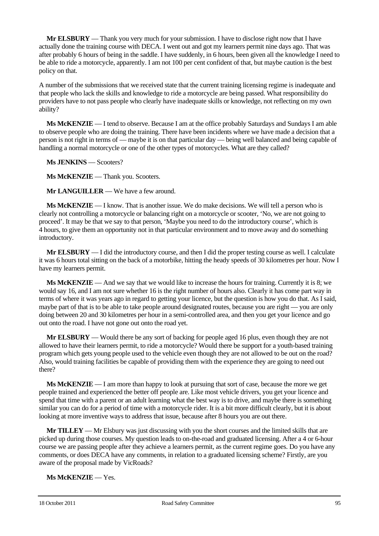**Mr ELSBURY** — Thank you very much for your submission. I have to disclose right now that I have actually done the training course with DECA. I went out and got my learners permit nine days ago. That was after probably 6 hours of being in the saddle. I have suddenly, in 6 hours, been given all the knowledge I need to be able to ride a motorcycle, apparently. I am not 100 per cent confident of that, but maybe caution is the best policy on that.

A number of the submissions that we received state that the current training licensing regime is inadequate and that people who lack the skills and knowledge to ride a motorcycle are being passed. What responsibility do providers have to not pass people who clearly have inadequate skills or knowledge, not reflecting on my own ability?

**Ms McKENZIE** — I tend to observe. Because I am at the office probably Saturdays and Sundays I am able to observe people who are doing the training. There have been incidents where we have made a decision that a person is not right in terms of — maybe it is on that particular day — being well balanced and being capable of handling a normal motorcycle or one of the other types of motorcycles. What are they called?

**Ms JENKINS** — Scooters?

**Ms McKENZIE** — Thank you. Scooters.

**Mr LANGUILLER** — We have a few around.

**Ms McKENZIE** — I know. That is another issue. We do make decisions. We will tell a person who is clearly not controlling a motorcycle or balancing right on a motorcycle or scooter, 'No, we are not going to proceed'. It may be that we say to that person, 'Maybe you need to do the introductory course', which is 4 hours, to give them an opportunity not in that particular environment and to move away and do something introductory.

**Mr ELSBURY** — I did the introductory course, and then I did the proper testing course as well. I calculate it was 6 hours total sitting on the back of a motorbike, hitting the heady speeds of 30 kilometres per hour. Now I have my learners permit.

**Ms McKENZIE** — And we say that we would like to increase the hours for training. Currently it is 8; we would say 16, and I am not sure whether 16 is the right number of hours also. Clearly it has come part way in terms of where it was years ago in regard to getting your licence, but the question is how you do that. As I said, maybe part of that is to be able to take people around designated routes, because you are right — you are only doing between 20 and 30 kilometres per hour in a semi-controlled area, and then you get your licence and go out onto the road. I have not gone out onto the road yet.

**Mr ELSBURY** — Would there be any sort of backing for people aged 16 plus, even though they are not allowed to have their learners permit, to ride a motorcycle? Would there be support for a youth-based training program which gets young people used to the vehicle even though they are not allowed to be out on the road? Also, would training facilities be capable of providing them with the experience they are going to need out there?

**Ms McKENZIE** — I am more than happy to look at pursuing that sort of case, because the more we get people trained and experienced the better off people are. Like most vehicle drivers, you get your licence and spend that time with a parent or an adult learning what the best way is to drive, and maybe there is something similar you can do for a period of time with a motorcycle rider. It is a bit more difficult clearly, but it is about looking at more inventive ways to address that issue, because after 8 hours you are out there.

**Mr TILLEY** — Mr Elsbury was just discussing with you the short courses and the limited skills that are picked up during those courses. My question leads to on-the-road and graduated licensing. After a 4 or 6-hour course we are passing people after they achieve a learners permit, as the current regime goes. Do you have any comments, or does DECA have any comments, in relation to a graduated licensing scheme? Firstly, are you aware of the proposal made by VicRoads?

**Ms McKENZIE** — Yes.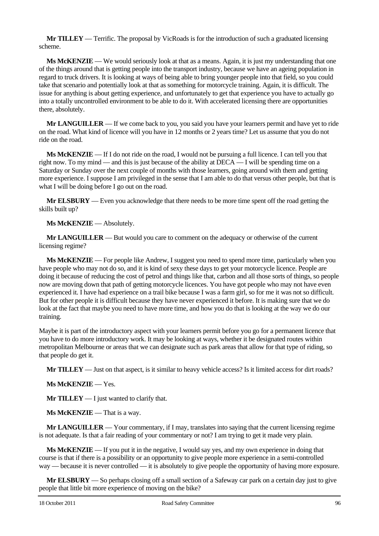**Mr TILLEY** — Terrific. The proposal by VicRoads is for the introduction of such a graduated licensing scheme.

**Ms McKENZIE** — We would seriously look at that as a means. Again, it is just my understanding that one of the things around that is getting people into the transport industry, because we have an ageing population in regard to truck drivers. It is looking at ways of being able to bring younger people into that field, so you could take that scenario and potentially look at that as something for motorcycle training. Again, it is difficult. The issue for anything is about getting experience, and unfortunately to get that experience you have to actually go into a totally uncontrolled environment to be able to do it. With accelerated licensing there are opportunities there, absolutely.

**Mr LANGUILLER** — If we come back to you, you said you have your learners permit and have yet to ride on the road. What kind of licence will you have in 12 months or 2 years time? Let us assume that you do not ride on the road.

**Ms McKENZIE** — If I do not ride on the road, I would not be pursuing a full licence. I can tell you that right now. To my mind — and this is just because of the ability at  $DECA - I$  will be spending time on a Saturday or Sunday over the next couple of months with those learners, going around with them and getting more experience. I suppose I am privileged in the sense that I am able to do that versus other people, but that is what I will be doing before I go out on the road.

**Mr ELSBURY** — Even you acknowledge that there needs to be more time spent off the road getting the skills built up?

**Ms McKENZIE** — Absolutely.

**Mr LANGUILLER** — But would you care to comment on the adequacy or otherwise of the current licensing regime?

**Ms McKENZIE** — For people like Andrew, I suggest you need to spend more time, particularly when you have people who may not do so, and it is kind of sexy these days to get your motorcycle licence. People are doing it because of reducing the cost of petrol and things like that, carbon and all those sorts of things, so people now are moving down that path of getting motorcycle licences. You have got people who may not have even experienced it. I have had experience on a trail bike because I was a farm girl, so for me it was not so difficult. But for other people it is difficult because they have never experienced it before. It is making sure that we do look at the fact that maybe you need to have more time, and how you do that is looking at the way we do our training.

Maybe it is part of the introductory aspect with your learners permit before you go for a permanent licence that you have to do more introductory work. It may be looking at ways, whether it be designated routes within metropolitan Melbourne or areas that we can designate such as park areas that allow for that type of riding, so that people do get it.

**Mr TILLEY** — Just on that aspect, is it similar to heavy vehicle access? Is it limited access for dirt roads?

**Ms McKENZIE** — Yes.

**Mr TILLEY** — I just wanted to clarify that.

**Ms McKENZIE** — That is a way.

**Mr LANGUILLER** — Your commentary, if I may, translates into saying that the current licensing regime is not adequate. Is that a fair reading of your commentary or not? I am trying to get it made very plain.

**Ms McKENZIE** — If you put it in the negative, I would say yes, and my own experience in doing that course is that if there is a possibility or an opportunity to give people more experience in a semi-controlled way — because it is never controlled — it is absolutely to give people the opportunity of having more exposure.

**Mr ELSBURY** — So perhaps closing off a small section of a Safeway car park on a certain day just to give people that little bit more experience of moving on the bike?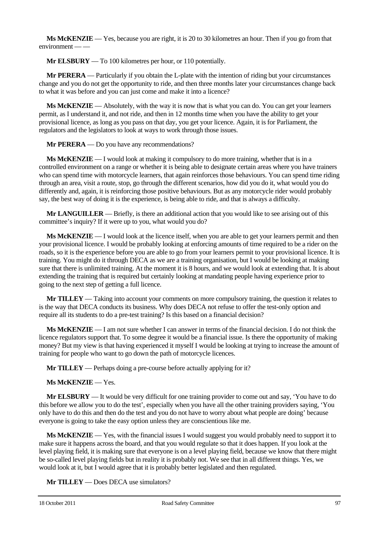**Ms McKENZIE** — Yes, because you are right, it is 20 to 30 kilometres an hour. Then if you go from that environment — —

**Mr ELSBURY** — To 100 kilometres per hour, or 110 potentially.

**Mr PERERA** — Particularly if you obtain the L-plate with the intention of riding but your circumstances change and you do not get the opportunity to ride, and then three months later your circumstances change back to what it was before and you can just come and make it into a licence?

**Ms McKENZIE** — Absolutely, with the way it is now that is what you can do. You can get your learners permit, as I understand it, and not ride, and then in 12 months time when you have the ability to get your provisional licence, as long as you pass on that day, you get your licence. Again, it is for Parliament, the regulators and the legislators to look at ways to work through those issues.

**Mr PERERA** — Do you have any recommendations?

**Ms McKENZIE** — I would look at making it compulsory to do more training, whether that is in a controlled environment on a range or whether it is being able to designate certain areas where you have trainers who can spend time with motorcycle learners, that again reinforces those behaviours. You can spend time riding through an area, visit a route, stop, go through the different scenarios, how did you do it, what would you do differently and, again, it is reinforcing those positive behaviours. But as any motorcycle rider would probably say, the best way of doing it is the experience, is being able to ride, and that is always a difficulty.

**Mr LANGUILLER** — Briefly, is there an additional action that you would like to see arising out of this committee's inquiry? If it were up to you, what would you do?

**Ms McKENZIE** — I would look at the licence itself, when you are able to get your learners permit and then your provisional licence. I would be probably looking at enforcing amounts of time required to be a rider on the roads, so it is the experience before you are able to go from your learners permit to your provisional licence. It is training. You might do it through DECA as we are a training organisation, but I would be looking at making sure that there is unlimited training. At the moment it is 8 hours, and we would look at extending that. It is about extending the training that is required but certainly looking at mandating people having experience prior to going to the next step of getting a full licence.

**Mr TILLEY** — Taking into account your comments on more compulsory training, the question it relates to is the way that DECA conducts its business. Why does DECA not refuse to offer the test-only option and require all its students to do a pre-test training? Is this based on a financial decision?

**Ms McKENZIE** — I am not sure whether I can answer in terms of the financial decision. I do not think the licence regulators support that. To some degree it would be a financial issue. Is there the opportunity of making money? But my view is that having experienced it myself I would be looking at trying to increase the amount of training for people who want to go down the path of motorcycle licences.

**Mr TILLEY** — Perhaps doing a pre-course before actually applying for it?

**Ms McKENZIE** — Yes.

**Mr ELSBURY** — It would be very difficult for one training provider to come out and say, 'You have to do this before we allow you to do the test', especially when you have all the other training providers saying, 'You only have to do this and then do the test and you do not have to worry about what people are doing' because everyone is going to take the easy option unless they are conscientious like me.

**Ms McKENZIE** — Yes, with the financial issues I would suggest you would probably need to support it to make sure it happens across the board, and that you would regulate so that it does happen. If you look at the level playing field, it is making sure that everyone is on a level playing field, because we know that there might be so-called level playing fields but in reality it is probably not. We see that in all different things. Yes, we would look at it, but I would agree that it is probably better legislated and then regulated.

**Mr TILLEY** — Does DECA use simulators?